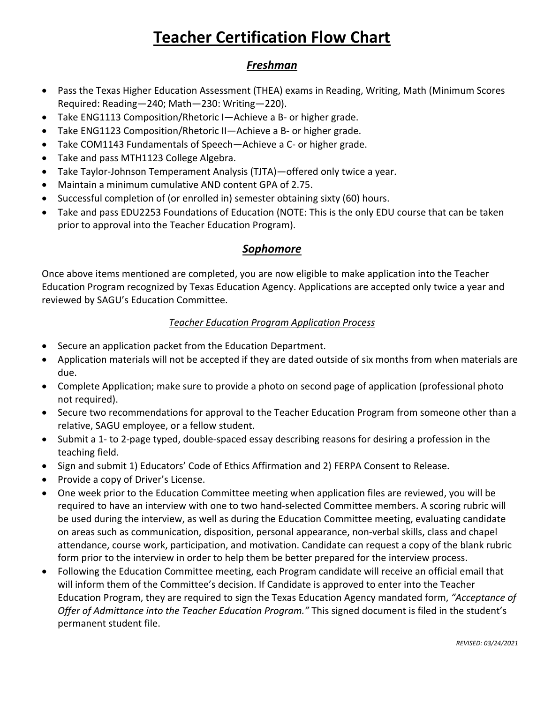# **Teacher Certification Flow Chart**

## *Freshman*

- Pass the Texas Higher Education Assessment (THEA) exams in Reading, Writing, Math (Minimum Scores Required: Reading—240; Math—230: Writing—220).
- Take ENG1113 Composition/Rhetoric I—Achieve a B- or higher grade.
- Take ENG1123 Composition/Rhetoric II—Achieve a B- or higher grade.
- Take COM1143 Fundamentals of Speech—Achieve a C- or higher grade.
- Take and pass MTH1123 College Algebra.
- Take Taylor-Johnson Temperament Analysis (TJTA)—offered only twice a year.
- Maintain a minimum cumulative AND content GPA of 2.75.
- Successful completion of (or enrolled in) semester obtaining sixty (60) hours.
- Take and pass EDU2253 Foundations of Education (NOTE: This is the only EDU course that can be taken prior to approval into the Teacher Education Program).

#### *Sophomore*

Once above items mentioned are completed, you are now eligible to make application into the Teacher Education Program recognized by Texas Education Agency. Applications are accepted only twice a year and reviewed by SAGU's Education Committee.

#### *Teacher Education Program Application Process*

- Secure an application packet from the Education Department.
- Application materials will not be accepted if they are dated outside of six months from when materials are due.
- Complete Application; make sure to provide a photo on second page of application (professional photo not required).
- Secure two recommendations for approval to the Teacher Education Program from someone other than a relative, SAGU employee, or a fellow student.
- Submit a 1- to 2-page typed, double-spaced essay describing reasons for desiring a profession in the teaching field.
- Sign and submit 1) Educators' Code of Ethics Affirmation and 2) FERPA Consent to Release.
- Provide a copy of Driver's License.
- One week prior to the Education Committee meeting when application files are reviewed, you will be required to have an interview with one to two hand-selected Committee members. A scoring rubric will be used during the interview, as well as during the Education Committee meeting, evaluating candidate on areas such as communication, disposition, personal appearance, non-verbal skills, class and chapel attendance, course work, participation, and motivation. Candidate can request a copy of the blank rubric form prior to the interview in order to help them be better prepared for the interview process.
- Following the Education Committee meeting, each Program candidate will receive an official email that will inform them of the Committee's decision. If Candidate is approved to enter into the Teacher Education Program, they are required to sign the Texas Education Agency mandated form, *"Acceptance of Offer of Admittance into the Teacher Education Program."* This signed document is filed in the student's permanent student file.